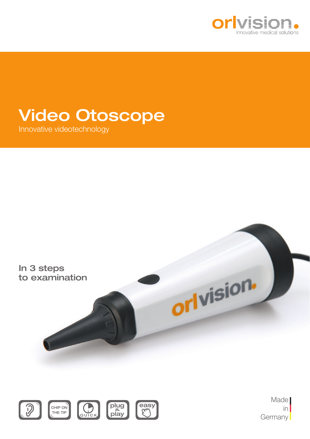

## Video Otoscope

Innovative videotechnology





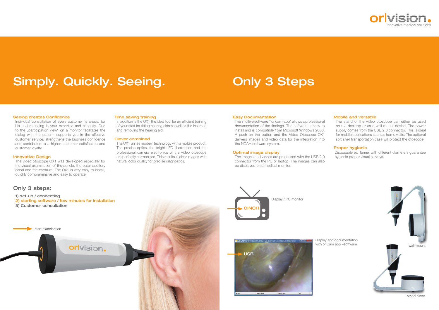wall-mount

Individual consultation of every customer is crucial for his understanding in your expertise and capacity. Due to the "participation view" on a monitor facilitates the dialog with the patient, supports you in the effective customer service, strengthens the business confidence and contributes to a higher customer satisfaction and customer loyalty.

#### Innovative Design

The video otoscope OX1 was developed especially for the visual examination of the auricle, the outer auditory canal and the eardrum. The OX1 is very easy to install, quickly comprehensive and easy to operate.

#### Easy Documentation

In addition is the OX1 the ideal tool for an efficient training of your staff for fitting hearing aids as well as the insertion and removing the hearing aid.

The intuitive software '"orlcam-app" allows a professional documentation of the findings. The software is easy to install and is compatible from Microsoft Windows 2000. A push on the button and the Video Otoscope OX1 delivers images and video data for the integration into the NOAH software system.

#### Optimal image display

The images and videos are processed with the USB 2.0 connector from the PC or laptop. The images can also be displayed on a medical monitor.

#### Time saving training

#### Clever combined

The OX1 unites modern technology with a mobile product. The precise optics, the bright LED illumination and the professional camera electronics of the video otoscope are perfectly harmonized. This results in clear images with natural color quality for precise diagnostics.

#### Mobile and versatile

The stand of the video otoscope can either be used on the desktop or as a wall-mount device. The power supply comes from the USB 2.0 connector. This is ideal for mobile applications such as home visits. The optional soft shell transportation case will protect the otoscope.

#### Proper hygienic

Disposable ear funnel with different diameters guarantee hygienic proper visual surveys.

# Only 3 Steps

#### **Seeing creates Confidence**

Display and documentation with orlCam app –software







# Simply. Quickly. Seeing.



stand alone